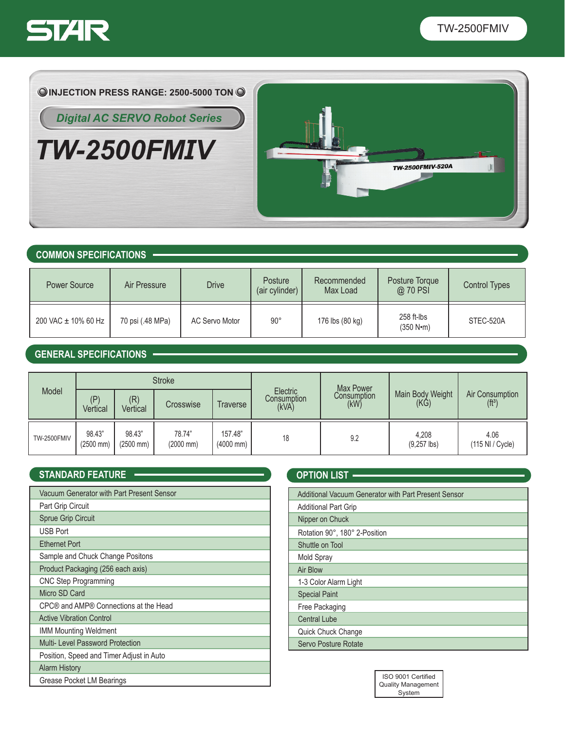

 $\overline{\mathcal{C}}$ 



*TW-2500FMIV*



## **COMMON SPECIFICATIONS**

| Power Source        | Air Pressure     | <b>Drive</b>   | Posture<br>(air cylinder) | Recommended<br>Max Load | Posture Torque<br>@ 70 PSI | <b>Control Types</b> |
|---------------------|------------------|----------------|---------------------------|-------------------------|----------------------------|----------------------|
| 200 VAC ± 10% 60 Hz | 70 psi (.48 MPa) | AC Servo Motor | $90^{\circ}$              | 176 lbs (80 kg)         | $258$ ft-lbs<br>(350 N·m)  | STEC-520A            |

# **GENERAL SPECIFICATIONS**

| Model              | <b>Stroke</b>         |                                 |                                 |                                  | Max Power                        |                     |                          |                                        |
|--------------------|-----------------------|---------------------------------|---------------------------------|----------------------------------|----------------------------------|---------------------|--------------------------|----------------------------------------|
|                    | (P)<br>Vertical       | (R)<br>Vertical                 | Crosswise                       | Traverse                         | Electric<br>Consumption<br>(kVA) | Consumption<br>(kW) | Main Body Weight<br>(KG) | Air Consumption<br>(f t <sup>3</sup> ) |
| <b>TW-2500FMIV</b> | 98.43"<br>$(2500$ mm) | 98.43"<br>$(2500 \, \text{mm})$ | 78.74"<br>$(2000 \, \text{mm})$ | 157.48"<br>$(4000 \, \text{mm})$ | 18                               | 9.2                 | 4,208<br>$(9,257$ lbs)   | 4.06<br>(115 NI / Cycle)               |

## **STANDARD FEATURE -**

| Vacuum Generator with Part Present Sensor |
|-------------------------------------------|
| Part Grip Circuit                         |
| <b>Sprue Grip Circuit</b>                 |
| <b>USB Port</b>                           |
| <b>Ethernet Port</b>                      |
| Sample and Chuck Change Positons          |
| Product Packaging (256 each axis)         |
| <b>CNC Step Programming</b>               |
| Micro SD Card                             |
| CPC® and AMP® Connections at the Head     |
| <b>Active Vibration Control</b>           |
| <b>IMM Mounting Weldment</b>              |
| Multi- Level Password Protection          |
| Position, Speed and Timer Adjust in Auto  |
| <b>Alarm History</b>                      |
| Grease Pocket LM Bearings                 |

| <b>OPTION LIST</b>                                   |
|------------------------------------------------------|
|                                                      |
| Additional Vacuum Generator with Part Present Sensor |
| <b>Additional Part Grip</b>                          |
| Nipper on Chuck                                      |
| Rotation 90°, 180° 2-Position                        |
| Shuttle on Tool                                      |
| Mold Spray                                           |
| Air Blow                                             |
| 1-3 Color Alarm Light                                |
| <b>Special Paint</b>                                 |
| Free Packaging                                       |
| <b>Central Lube</b>                                  |
| Quick Chuck Change                                   |
| Servo Posture Rotate                                 |

| ISO 9001 Certified        |  |  |  |  |
|---------------------------|--|--|--|--|
| <b>Quality Management</b> |  |  |  |  |
| System                    |  |  |  |  |